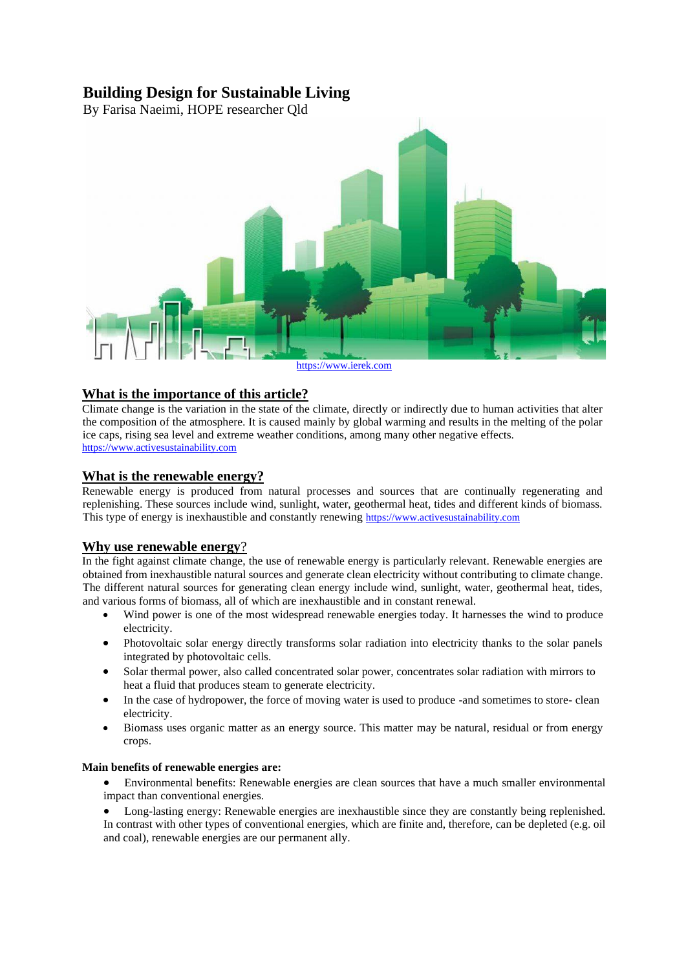## **Building Design for Sustainable Living**

By Farisa Naeimi, HOPE researcher Qld



## **What is the importance of this article?**

Climate change is the variation in the state of the climate, directly or indirectly due to human activities that alter the composition of the atmosphere. It is caused mainly by global warming and results in the melting of the polar ice caps, rising sea level and extreme weather conditions, among many other negative effects. [https://www.activesustainability.com](https://www.activesustainability.com/climate-change/)

## **What is the renewable energy?**

Renewable energy is produced from natural processes and sources that are continually regenerating and replenishing. These sources include wind, sunlight, water, geothermal heat, tides and different kinds of biomass. This type of energy is inexhaustible and constantly renewing [https://www.activesustainability.com](https://www.activesustainability.com/climate-change/)

## **Why use renewable energy**?

In the fight against climate change, the use of renewable energy is particularly relevant. Renewable energies are obtained from inexhaustible natural sources and generate clean electricity without contributing to climate change. The different natural sources for generating clean energy include wind, sunlight, water, geothermal heat, tides, and various forms of biomass, all of which are inexhaustible and in constant renewal.

- [Wind power](https://www.activesustainability.com/renewable-energies-wind-energy) [i](https://www.activesustainability.com/renewable-energies-wind-energy)s one of the most widespread renewable energies today. It harnesses the wind to produce electricity.
- Photovoltaic solar energy directly transforms solar radiation into electricity thanks to the solar panels integrated by photovoltaic cells.
- Solar thermal power, also called concentrated solar power, concentrates solar radiation with mirrors to heat a fluid that produces steam to generate electricity.
- In the case of hydropower, the force of moving water is used to produce -and sometimes to store- clean electricity.
- Biomass uses organic matter as an energy source. This matter may be natural, residual or from energy crops.

#### **Main benefits of renewable energies are:**

- Environmental benefits: Renewable energies are clean sources that have a much smaller environmental impact than conventional energies.
- Long-lasting energy: Renewable energies are inexhaustible since they are constantly being replenished. In contrast with other types of conventional energies, which are finite and, therefore, can be depleted (e.g. oil and coal), renewable energies are our permanent ally.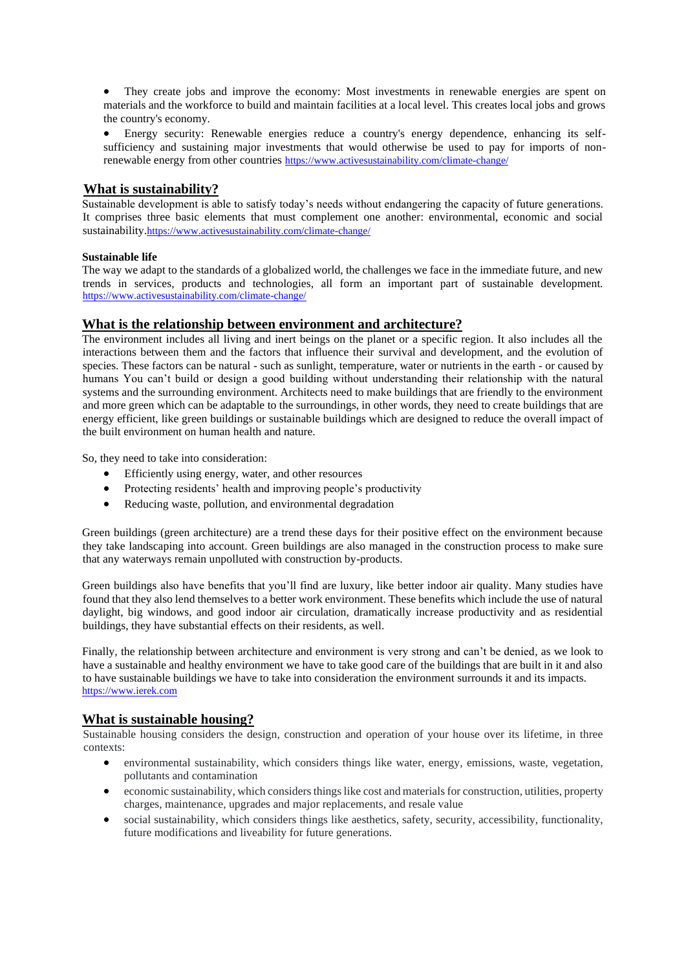• They create jobs and improve the economy: Most investments in renewable energies are spent on materials and the workforce to build and maintain facilities at a local level. This creates local jobs and grows the country's economy.

• Energy security: Renewable energies reduce a country's energy dependence, enhancing its selfsufficiency and sustaining major investments that would otherwise be used to pay for imports of nonrenewable energy from other countries <https://www.activesustainability.com/climate-change/>

## **What is sustainability?**

Sustainable development is able to satisfy today's needs without endangering the capacity of future generations. It comprises three basic elements that must complement one another: environmental, economic and social sustainability.<https://www.activesustainability.com/climate-change/>

## **Sustainable life**

The way we adapt to the standards of a globalized world, the challenges we face in the immediate future, and new trends in services, products and technologies, all form an important part of sustainable development. <https://www.activesustainability.com/climate-change/>

## **What is the relationship between environment and architecture?**

The environment includes all living and inert beings on the planet or a specific region. It also includes all the interactions between them and the factors that influence their survival and development, and the evolution of species. These factors can be natural - such as sunlight, temperature, water or nutrients in the earth - or caused by humans You can't build or design a good building without understanding their relationship with the natural systems and the surrounding environment. Architects need to make buildings that are friendly to the environment and mor[e](https://www.ierek.com/events/green-urbanism-3rd-edition/) [green](https://www.ierek.com/events/green-urbanism-3rd-edition/) [wh](https://www.ierek.com/events/green-urbanism-3rd-edition/)ich can be adaptable to the surroundings, in other words, they need to create buildings that ar[e](https://www.ierek.com/events/green-urbanism-3rd-edition/) [energy efficient,](https://www.ierek.com/events/green-urbanism-3rd-edition/) like green buildings o[r](https://www.ierek.com/events/green-urbanism-3rd-edition/) [sustainable buildings](https://www.ierek.com/events/green-urbanism-3rd-edition/) which are designed to reduce the overall impact of the built environment on human health and nature.

So, they need to take into consideration:

- Efficiently using [energy,](https://www.ierek.com/events/alternative-renewable-energy-quest/) water, and other resources
- Protecting residents' health and improving people's productivity
- Reducing waste, pollution, and environmental degradation

[Green buildings](https://www.ierek.com/events/green-urbanism-3rd-edition/) [\(green architecture\)](https://www.ierek.com/events/green-urbanism-3rd-edition/) are a trend these days for their positive effect on the environment because they take landscaping into account[.](https://www.ierek.com/events/green-urbanism-3rd-edition/) [Green buildings](https://www.ierek.com/events/green-urbanism-3rd-edition/) are also managed in the construction process to make sure that any waterways remain unpolluted with construction by-products.

[Green buildings](https://www.ierek.com/events/green-urbanism-3rd-edition/) also have benefits that you'll find are luxury, like better indoor air quality. Many studies have found that they also lend themselves to a better work environment. These benefits which include the use of natural daylight, big windows, and good indoor air circulation, dramatically increase productivity and as residential buildings, they have substantial effects on their residents, as well.

Finally, the relationship betwee[n](https://www.ierek.com/events/green-urbanism-3rd-edition/) [architecture and environment](https://www.ierek.com/events/green-urbanism-3rd-edition/) is very strong and can't be denied, as we look to have a sustainable and healthy environment we have to take good care of the buildings that are built in it and also to have sustainable buildings we have to take into consideration the environment surrounds it and its impacts. https://www.ierek.com

## **What is sustainable housing?**

Sustainable housing considers the design, construction and operation of your house over its lifetime, in three contexts:

- environmental sustainability, which considers things like water, energy, emissions, waste, vegetation, pollutants and contamination
- economic sustainability, which considers things like cost and materials for construction, utilities, property charges, maintenance, upgrades and major replacements, and resale value
- social sustainability, which considers things like aesthetics, safety, security, accessibility, functionality, future modifications and liveability for future generations.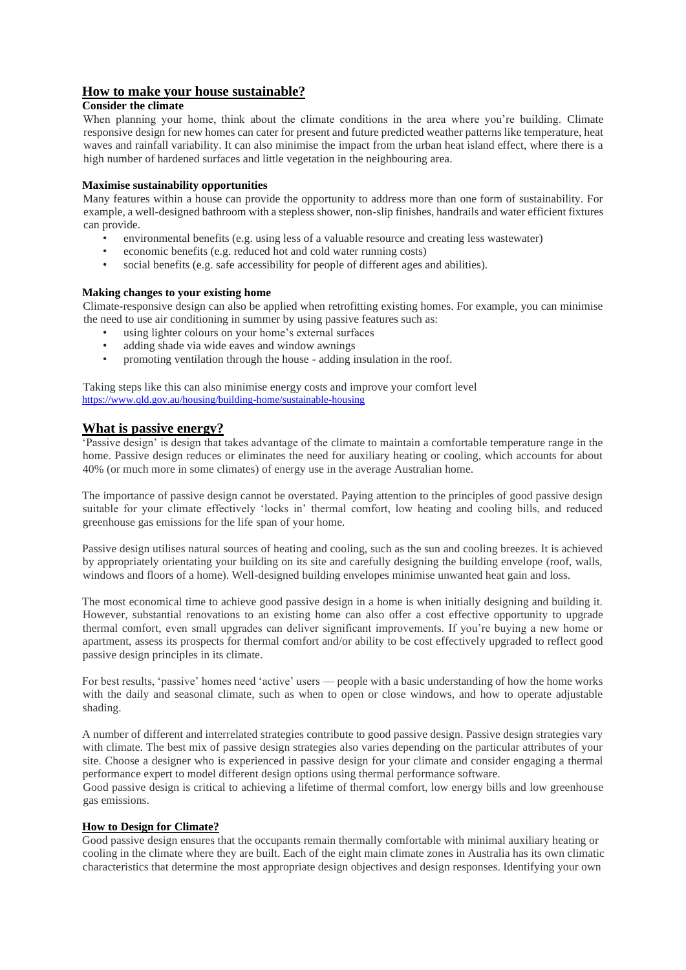## **How to make your house sustainable?**

#### **Consider the climate**

When planning your home, think about the climate conditions in the area where you're building. Climate responsive design for new homes can cater for present and future predicted weather patterns like temperature, heat waves and rainfall variability. It can also minimise the impact from the urban heat island effect, where there is a high number of hardened surfaces and little vegetation in the neighbouring area.

#### **Maximise sustainability opportunities**

Many features within a house can provide the opportunity to address more than one form of sustainability. For example, a well-designed bathroom with a stepless shower, non-slip finishes, handrails and water efficient fixtures can provide.

- environmental benefits (e.g. using less of a valuable resource and creating less wastewater)
- economic benefits (e.g. reduced hot and cold water running costs)
- social benefits (e.g. safe accessibility for people of different ages and abilities).

#### **Making changes to your existing home**

Climate-responsive design can also be applied when retrofitting existing homes. For example, you can minimise the need to use air conditioning in summer by using passive features such as:

- using lighter colours on your home's external surfaces
- adding shade via wide eaves and window awnings
- promoting ventilation through the house adding insulation in the roof.

Taking steps like this can also minimise energy costs and improve your comfort level <https://www.qld.gov.au/housing/building-home/sustainable-housing>

## **What is passive energy?**

'Passive design' is design that takes advantage of the climate to maintain a comfortable temperature range in the home. Passive design reduces or eliminates the need for auxiliary heating or cooling, which accounts for about 40% (or much more in some climates) of energy use in the average Australian home.

The importance of passive design cannot be overstated. Paying attention to the principles of good passive design suitable for your climate effectively 'locks in' thermal comfort, low heating and cooling bills, and reduced greenhouse gas emissions for the life span of your home.

Passive design utilises natural sources of heating and cooling, such as the sun and cooling breezes. It is achieved by appropriately orientating your building on its site and carefully designing the building envelope (roof, walls, windows and floors of a home). Well-designed building envelopes minimise unwanted heat gain and loss.

The most economical time to achieve good passive design in a home is when initially designing and building it. However, substantial renovations to an existing home can also offer a cost effective opportunity to upgrade thermal comfort, even small upgrades can deliver significant improvements. If you're buying a new home or apartment, assess its prospects for thermal comfort and/or ability to be cost effectively upgraded to reflect good passive design principles in its climate.

For best results, 'passive' homes need 'active' users — people with a basic understanding of how the home works with the daily and seasonal climate, such as when to open or close windows, and how to operate adjustable shading.

A number of different and interrelated strategies contribute to good passive design. Passive design strategies vary with climate. The best mix of passive design strategies also varies depending on the particular attributes of your site. Choose a designer who is experienced in passive design for your climate and consider engaging a thermal performance expert to model different design options using thermal performance software.

Good passive design is critical to achieving a lifetime of thermal comfort, low energy bills and low greenhouse gas emissions.

#### **How to Design for Climate?**

Good passive design ensures that the occupants remain thermally comfortable with minimal auxiliary heating or cooling in the climate where they are built. Each of the eight main climate zones in Australia has its own climatic characteristics that determine the most appropriate design objectives and design responses. Identifying your own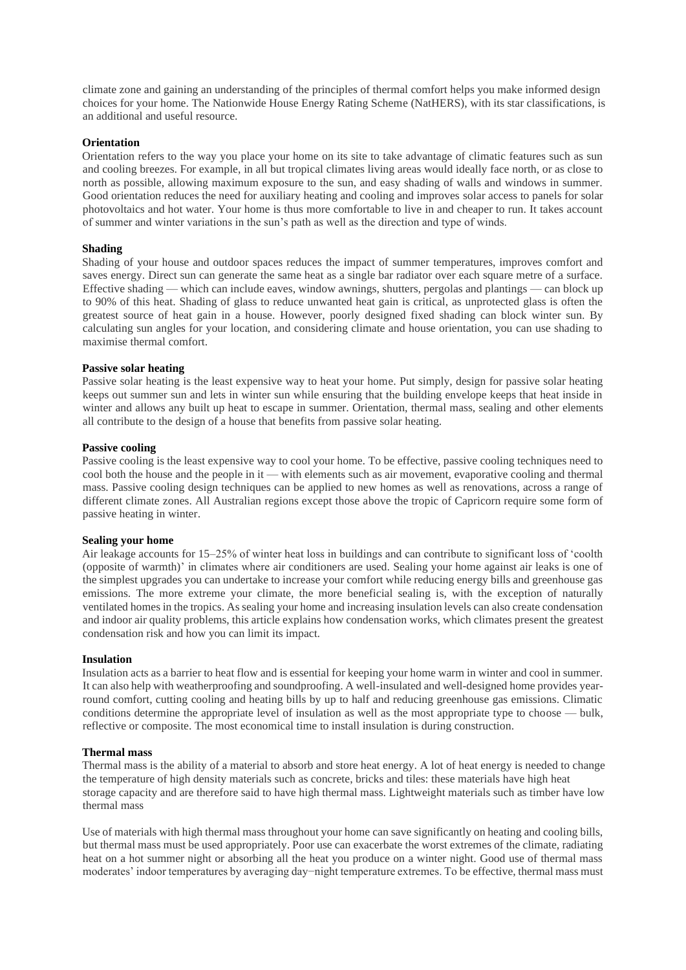climate zone and gaining an understanding of the principles of thermal comfort helps you make informed design choices for your home. The Nationwide House Energy Rating Scheme (NatHERS), with its star classifications, is an additional and useful resource.

#### **Orientation**

Orientation refers to the way you place your home on its site to take advantage of climatic features such as sun and cooling breezes. For example, in all but tropical climates living areas would ideally face north, or as close to north as possible, allowing maximum exposure to the sun, and easy shading of walls and windows in summer. Good orientation reduces the need for auxiliary heating and cooling and improves solar access to panels for solar photovoltaics and hot water. Your home is thus more comfortable to live in and cheaper to run. It takes account of summer and winter variations in the sun's path as well as the direction and type of winds.

#### **Shading**

Shading of your house and outdoor spaces reduces the impact of summer temperatures, improves comfort and saves energy. Direct sun can generate the same heat as a single bar radiator over each square metre of a surface. Effective shading — which can include eaves, window awnings, shutters, pergolas and plantings — can block up to 90% of this heat. Shading of glass to reduce unwanted heat gain is critical, as unprotected glass is often the greatest source of heat gain in a house. However, poorly designed fixed shading can block winter sun. By calculating sun angles for your location, and considering climate and house orientation, you can use shading to maximise thermal comfort.

#### **Passive solar heating**

Passive solar heating is the least expensive way to heat your home. Put simply, design for passive solar heating keeps out summer sun and lets in winter sun while ensuring that the building envelope keeps that heat inside in winter and allows any built up heat to escape in summer. Orientation, thermal mass, sealing and other elements all contribute to the design of a house that benefits from passive solar heating.

#### **Passive cooling**

Passive cooling is the least expensive way to cool your home. To be effective, passive cooling techniques need to cool both the house and the people in it — with elements such as air movement, evaporative cooling and thermal mass. Passive cooling design techniques can be applied to new homes as well as renovations, across a range of different climate zones. All Australian regions except those above the tropic of Capricorn require some form of passive heating in winter.

#### **Sealing your home**

Air leakage accounts for 15–25% of winter heat loss in buildings and can contribute to significant loss of 'coolth (opposite of warmth)' in climates where air conditioners are used. Sealing your home against air leaks is one of the simplest upgrades you can undertake to increase your comfort while reducing energy bills and greenhouse gas emissions. The more extreme your climate, the more beneficial sealing is, with the exception of naturally ventilated homes in the tropics. As sealing your home and increasing insulation levels can also create condensation and indoor air quality problems, this article explains how condensation works, which climates present the greatest condensation risk and how you can limit its impact.

#### **Insulation**

Insulation acts as a barrier to heat flow and is essential for keeping your home warm in winter and cool in summer. It can also help with weatherproofing and soundproofing. A well-insulated and well-designed home provides yearround comfort, cutting cooling and heating bills by up to half and reducing greenhouse gas emissions. Climatic conditions determine the appropriate level of insulation as well as the most appropriate type to choose — bulk, reflective or composite. The most economical time to install insulation is during construction.

#### **Thermal mass**

Thermal mass is the ability of a material to absorb and store heat energy. A lot of heat energy is needed to change the temperature of high density materials such as concrete, bricks and tiles: these materials have high heat storage capacity and are therefore said to have high thermal mass. Lightweight materials such as timber have low thermal mass

Use of materials with high thermal mass throughout your home can save significantly on heating and cooling bills, but thermal mass must be used appropriately. Poor use can exacerbate the worst extremes of the climate, radiating heat on a hot summer night or absorbing all the heat you produce on a winter night. Good use of thermal mass moderates' indoor temperatures by averaging day−night temperature extremes. To be effective, thermal mass must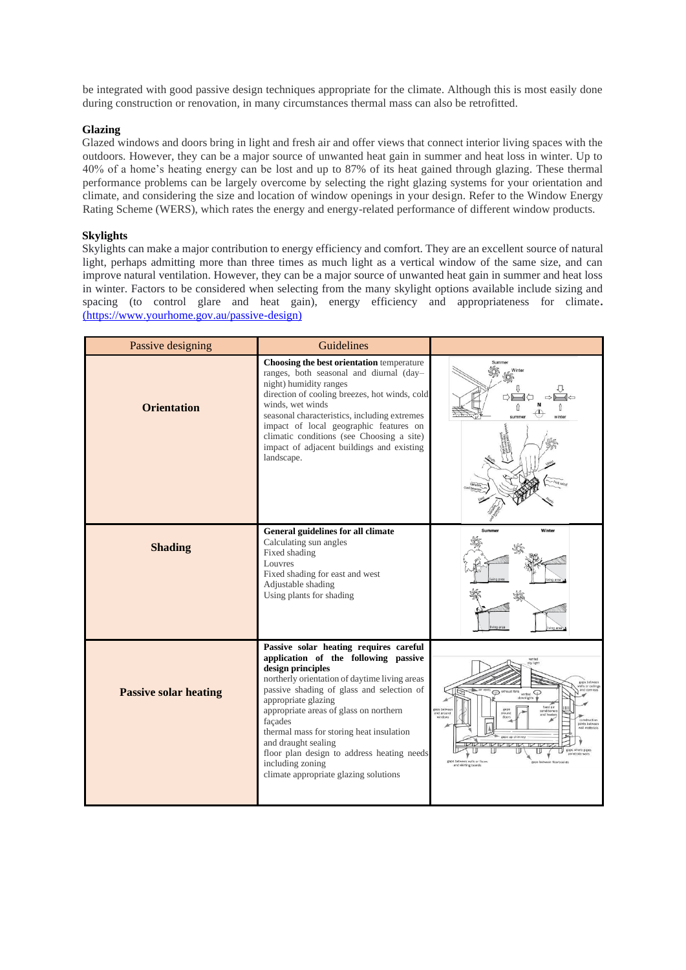be integrated with good passive design techniques appropriate for the climate. Although this is most easily done during construction or renovation, in many circumstances thermal mass can also be retrofitted.

#### **Glazing**

Glazed windows and doors bring in light and fresh air and offer views that connect interior living spaces with the outdoors. However, they can be a major source of unwanted heat gain in summer and heat loss in winter. Up to 40% of a home's heating energy can be lost and up to 87% of its heat gained through glazing. These thermal performance problems can be largely overcome by selecting the right glazing systems for your orientation and climate, and considering the size and location of window openings in your design. Refer to the Window Energy Rating Scheme (WERS), which rates the energy and energy-related performance of different window products.

#### **Skylights**

Skylights can make a major contribution to energy efficiency and comfort. They are an excellent source of natural light, perhaps admitting more than three times as much light as a vertical window of the same size, and can improve natural ventilation. However, they can be a major source of unwanted heat gain in summer and heat loss in winter. Factors to be considered when selecting from the many skylight options available include sizing and spacing (to control glare and heat gain), energy efficiency and appropriateness for climate**.** [\(https://www.yourhome.gov.au/passive-design\)](https://www.yourhome.gov.au/passive-design)

| Passive designing            | Guidelines                                                                                                                                                                                                                                                                                                                                                                                                                                                  |                                                                                                        |
|------------------------------|-------------------------------------------------------------------------------------------------------------------------------------------------------------------------------------------------------------------------------------------------------------------------------------------------------------------------------------------------------------------------------------------------------------------------------------------------------------|--------------------------------------------------------------------------------------------------------|
| <b>Orientation</b>           | Choosing the best orientation temperature<br>ranges, both seasonal and diurnal (day-<br>night) humidity ranges<br>direction of cooling breezes, hot winds, cold<br>winds, wet winds<br>seasonal characteristics, including extremes<br>impact of local geographic features on<br>climatic conditions (see Choosing a site)<br>impact of adjacent buildings and existing<br>landscape.                                                                       |                                                                                                        |
| <b>Shading</b>               | General guidelines for all climate<br>Calculating sun angles<br>Fixed shading<br>Louvres<br>Fixed shading for east and west<br>Adjustable shading<br>Using plants for shading                                                                                                                                                                                                                                                                               | Winter<br>Summer                                                                                       |
| <b>Passive solar heating</b> | Passive solar heating requires careful<br>application of the following passive<br>design principles<br>northerly orientation of daytime living areas<br>passive shading of glass and selection of<br>appropriate glazing<br>appropriate areas of glass on northern<br>facades<br>thermal mass for storing heat insulation<br>and draught sealing<br>floor plan design to address heating needs<br>including zoning<br>climate appropriate glazing solutions | gams between<br>$\circ$<br>vented<br>downlights<br>sints between<br>all materials<br>nd skirting board |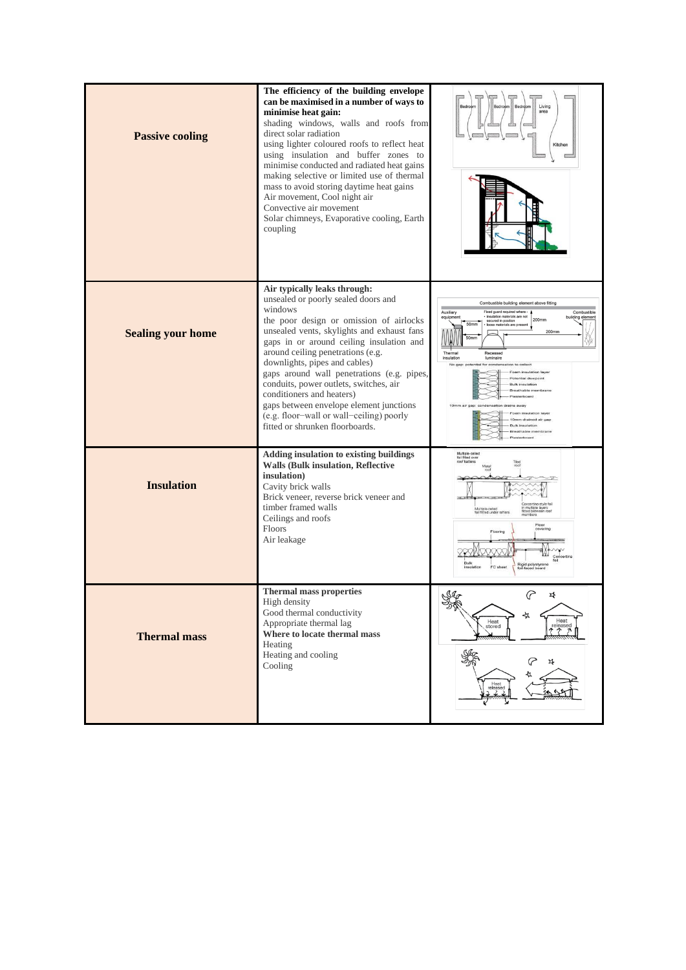| <b>Passive cooling</b>   | The efficiency of the building envelope<br>can be maximised in a number of ways to<br>minimise heat gain:<br>shading windows, walls and roofs from<br>direct solar radiation<br>using lighter coloured roofs to reflect heat<br>using insulation and buffer zones to<br>minimise conducted and radiated heat gains<br>making selective or limited use of thermal<br>mass to avoid storing daytime heat gains<br>Air movement, Cool night air<br>Convective air movement<br>Solar chimneys, Evaporative cooling, Earth<br>coupling        | Living<br>area<br>Kitchen                                                                                                                                                                                                                                                                                          |
|--------------------------|------------------------------------------------------------------------------------------------------------------------------------------------------------------------------------------------------------------------------------------------------------------------------------------------------------------------------------------------------------------------------------------------------------------------------------------------------------------------------------------------------------------------------------------|--------------------------------------------------------------------------------------------------------------------------------------------------------------------------------------------------------------------------------------------------------------------------------------------------------------------|
| <b>Sealing your home</b> | Air typically leaks through:<br>unsealed or poorly sealed doors and<br>windows<br>the poor design or omission of airlocks<br>unsealed vents, skylights and exhaust fans<br>gaps in or around ceiling insulation and<br>around ceiling penetrations (e.g.<br>downlights, pipes and cables)<br>gaps around wall penetrations (e.g. pipes,<br>conduits, power outlets, switches, air<br>conditioners and heaters)<br>gaps between envelope element junctions<br>(e.g. floor-wall or wall-ceiling) poorly<br>fitted or shrunken floorboards. | Combustible building element above fitting<br>Auxiliary<br>Fixed quard required where -<br>Combustible<br>insulation materials are not<br>equipment<br>building element<br>200mm<br>secured in position<br>50mm<br>materials are pr<br>200mm<br>50 <sub>mm</sub><br>Thermal<br>Recessed<br>insulation<br>luminaire |
| <b>Insulation</b>        | Adding insulation to existing buildings<br><b>Walls (Bulk insulation, Reflective</b><br>insulation)<br>Cavity brick walls<br>Brick veneer, reverse brick veneer and<br>timber framed walls<br>Ceilings and roofs<br>Floors<br>Air leakage                                                                                                                                                                                                                                                                                                | Multiple-celled<br>foil fitted over<br>roof batters<br>Tiled<br>Concertina-style foil<br>Concercito<br>in multiple layers<br>fitted between roof<br>Multiple-celled<br>foil fitted under rafters<br>Floor<br>Rigid polystyrene<br>foll-faced board<br>FC sheet                                                     |
| <b>Thermal mass</b>      | <b>Thermal mass properties</b><br>High density<br>Good thermal conductivity<br>Appropriate thermal lag<br>Where to locate thermal mass<br>Heating<br>Heating and cooling<br>Cooling                                                                                                                                                                                                                                                                                                                                                      | Ig<br>r\$<br>త్యేశ<br>⊰≾<br>Heat<br>Heat<br>released<br>そそう<br>stored<br>4<br>Heat<br>released<br>2 2 2                                                                                                                                                                                                            |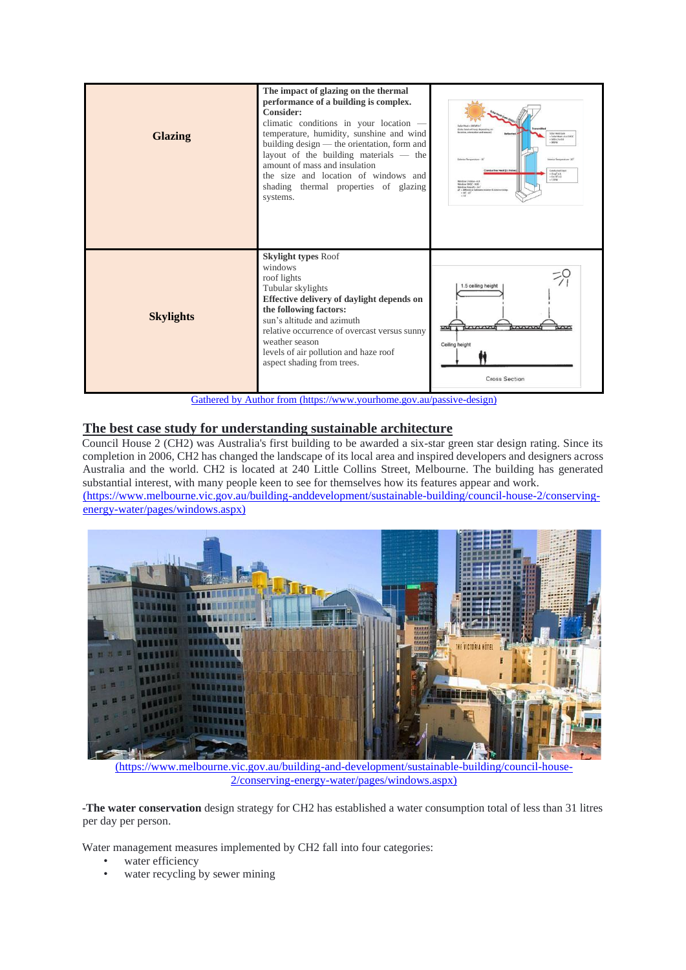| <b>Skylight types Roof</b><br>windows<br>roof lights<br>1.5 ceiling height<br>Tubular skylights<br>Effective delivery of daylight depends on<br>the following factors:<br><b>Skylights</b><br>sun's altitude and azimuth<br>ॼॼ | <b>Glazing</b> | The impact of glazing on the thermal<br>performance of a building is complex.<br>Consider:<br>climatic conditions in your location -<br>temperature, humidity, sunshine and wind<br>building design - the orientation, form and<br>layout of the building materials — the<br>amount of mass and insulation<br>the size and location of windows and<br>shading thermal properties of glazing<br>systems. | <b>Solar News - SOONING</b><br>(Solar heat will yary depending a<br>stion, orientation and sea<br>Solar Heat Gain<br>= Solar Heat x A x SHSC<br>500x2x08<br>Interior Temperature - 20<br>Exterior Terranesshare - 30<br>väuctive Heat (U-Value)<br><b>Conducted Heat</b><br>$-0.8878A$<br>$-6.810'x2$<br>Window U.Shine, A.D.<br>Window SHGC - 0.80<br>Vindow Area (A) - 2ml<br>AT = difference between interior & exterior temp<br>$+30' - 20'$ |
|--------------------------------------------------------------------------------------------------------------------------------------------------------------------------------------------------------------------------------|----------------|---------------------------------------------------------------------------------------------------------------------------------------------------------------------------------------------------------------------------------------------------------------------------------------------------------------------------------------------------------------------------------------------------------|--------------------------------------------------------------------------------------------------------------------------------------------------------------------------------------------------------------------------------------------------------------------------------------------------------------------------------------------------------------------------------------------------------------------------------------------------|
| weather season<br>Ceiling height<br>levels of air pollution and haze roof<br>aspect shading from trees.<br><b>Cross Section</b>                                                                                                |                | relative occurrence of overcast versus sunny<br>Gathered by Author from (https://www.yourhome.gov.au/passive-design)                                                                                                                                                                                                                                                                                    |                                                                                                                                                                                                                                                                                                                                                                                                                                                  |

# **The best case study for understanding sustainable architecture**

Council House 2 (CH2) was Australia's first building to be awarded a six-star green star design rating. Since its completion in 2006, CH2 has changed the landscape of its local area and inspired developers and designers across Australia and the world. CH2 is located at 240 Little Collins Street, Melbourne. The building has generated substantial interest, with many people keen to see for themselves how its features appear and work.

(https://www.melbourne.vic.gov.au/building-anddevelopment/sustainable-building/council-house-2/conservingenergy-water/pages/windows.aspx)



(https://www.melbourne.vic.gov.au/building-and-development/sustainable-building/council-house-2/conserving-energy-water/pages/windows.aspx)

**-The water conservation** design strategy for CH2 has established a water consumption total of less than 31 litres per day per person.

Water management measures implemented by CH2 fall into four categories:

- water efficiency
- water recycling by sewer mining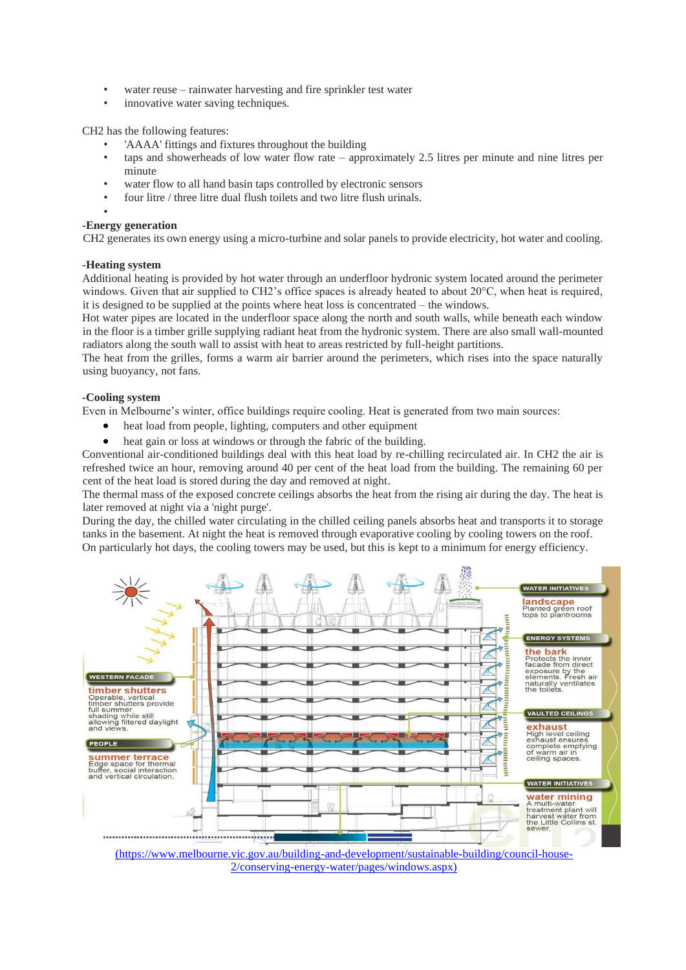- water reuse rainwater harvesting and fire sprinkler test water
- innovative water saving techniques.

CH2 has the following features:

- 'AAAA' fittings and fixtures throughout the building
- taps and showerheads of low water flow rate approximately 2.5 litres per minute and nine litres per minute
- water flow to all hand basin taps controlled by electronic sensors
- four litre / three litre dual flush toilets and two litre flush urinals.
- •

#### **-Energy generation**

CH2 generates its own energy using a micro-turbine and solar panels to provide electricity, hot water and cooling.

#### **-Heating system**

Additional heating is provided by hot water through an underfloor hydronic system located around the perimeter windows. Given that air supplied to CH2's office spaces is already heated to about 20°C, when heat is required, it is designed to be supplied at the points where heat loss is concentrated – the windows.

Hot water pipes are located in the underfloor space along the north and south walls, while beneath each window in the floor is a timber grille supplying radiant heat from the hydronic system. There are also small wall-mounted radiators along the south wall to assist with heat to areas restricted by full-height partitions.

The heat from the grilles, forms a warm air barrier around the perimeters, which rises into the space naturally using buoyancy, not fans.

#### **-Cooling system**

Even in Melbourne's winter, office buildings require cooling. Heat is generated from two main sources:

- heat load from people, lighting, computers and other equipment
- heat gain or loss at windows or through the fabric of the building.

Conventional air-conditioned buildings deal with this heat load by re-chilling recirculated air. In CH2 the air is refreshed twice an hour, removing around 40 per cent of the heat load from the building. The remaining 60 per cent of the heat load is stored during the day and removed at night.

The thermal mass of the exposed concrete ceilings absorbs the heat from the rising air during the day. The heat is later removed at night via a 'night purge'.

During the day, the chilled water circulating in the chilled ceiling panels absorbs heat and transports it to storage tanks in the basement. At night the heat is removed through evaporative cooling by cooling towers on the roof. On particularly hot days, the cooling towers may be used, but this is kept to a minimum for energy efficiency.